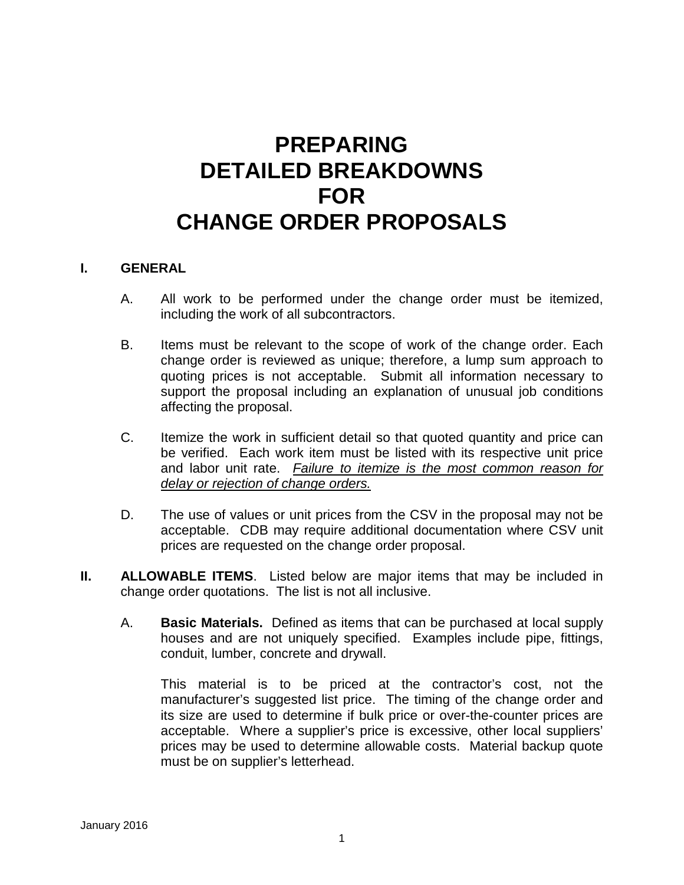## **PREPARING DETAILED BREAKDOWNS FOR CHANGE ORDER PROPOSALS**

## **I. GENERAL**

- A. All work to be performed under the change order must be itemized, including the work of all subcontractors.
- B. Items must be relevant to the scope of work of the change order. Each change order is reviewed as unique; therefore, a lump sum approach to quoting prices is not acceptable. Submit all information necessary to support the proposal including an explanation of unusual job conditions affecting the proposal.
- C. Itemize the work in sufficient detail so that quoted quantity and price can be verified. Each work item must be listed with its respective unit price and labor unit rate. *Failure to itemize is the most common reason for delay or rejection of change orders.*
- D. The use of values or unit prices from the CSV in the proposal may not be acceptable. CDB may require additional documentation where CSV unit prices are requested on the change order proposal.
- **II. ALLOWABLE ITEMS**. Listed below are major items that may be included in change order quotations. The list is not all inclusive.
	- A. **Basic Materials.** Defined as items that can be purchased at local supply houses and are not uniquely specified. Examples include pipe, fittings, conduit, lumber, concrete and drywall.

This material is to be priced at the contractor's cost, not the manufacturer's suggested list price. The timing of the change order and its size are used to determine if bulk price or over-the-counter prices are acceptable. Where a supplier's price is excessive, other local suppliers' prices may be used to determine allowable costs. Material backup quote must be on supplier's letterhead.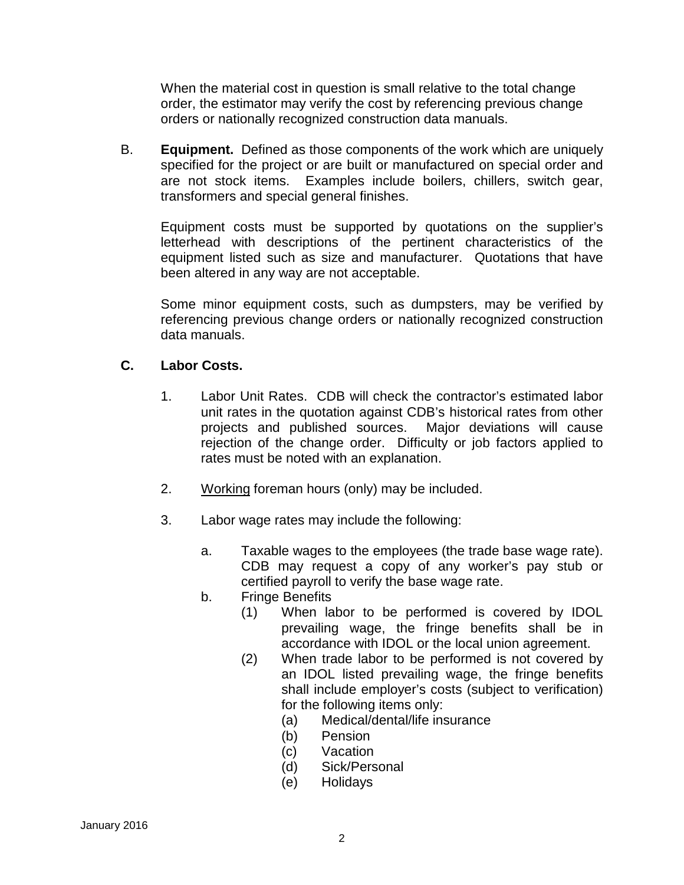When the material cost in question is small relative to the total change order, the estimator may verify the cost by referencing previous change orders or nationally recognized construction data manuals.

B. **Equipment.** Defined as those components of the work which are uniquely specified for the project or are built or manufactured on special order and are not stock items. Examples include boilers, chillers, switch gear, transformers and special general finishes.

Equipment costs must be supported by quotations on the supplier's letterhead with descriptions of the pertinent characteristics of the equipment listed such as size and manufacturer. Quotations that have been altered in any way are not acceptable.

Some minor equipment costs, such as dumpsters, may be verified by referencing previous change orders or nationally recognized construction data manuals.

## **C. Labor Costs.**

- 1. Labor Unit Rates. CDB will check the contractor's estimated labor unit rates in the quotation against CDB's historical rates from other projects and published sources. Major deviations will cause rejection of the change order. Difficulty or job factors applied to rates must be noted with an explanation.
- 2. Working foreman hours (only) may be included.
- 3. Labor wage rates may include the following:
	- a. Taxable wages to the employees (the trade base wage rate). CDB may request a copy of any worker's pay stub or certified payroll to verify the base wage rate.
	- b. Fringe Benefits
		- (1) When labor to be performed is covered by IDOL prevailing wage, the fringe benefits shall be in accordance with IDOL or the local union agreement.
		- (2) When trade labor to be performed is not covered by an IDOL listed prevailing wage, the fringe benefits shall include employer's costs (subject to verification) for the following items only:
			- (a) Medical/dental/life insurance
			- (b) Pension
			- (c) Vacation
			- (d) Sick/Personal
			- (e) Holidays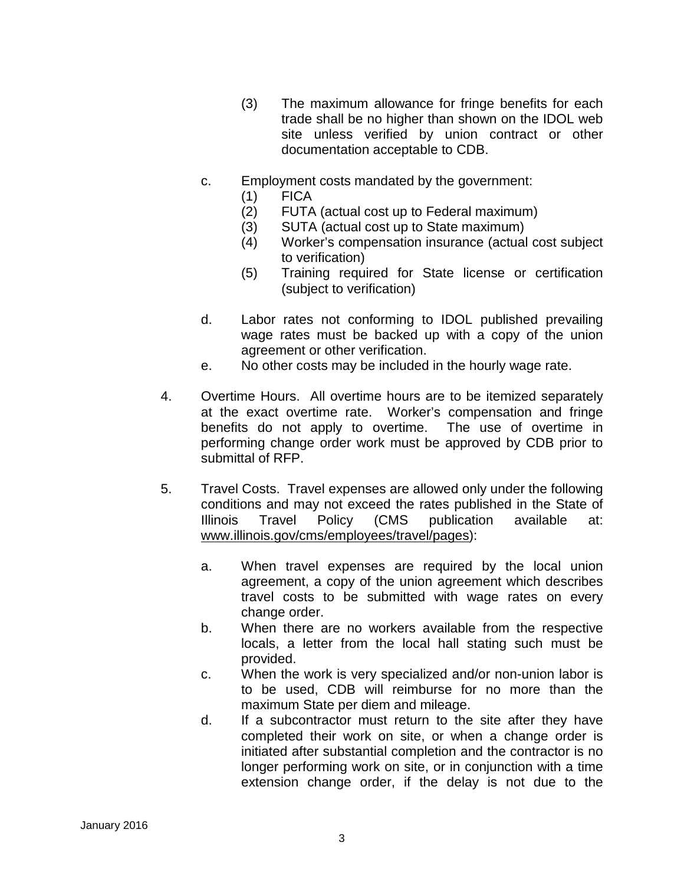- (3) The maximum allowance for fringe benefits for each trade shall be no higher than shown on the IDOL web site unless verified by union contract or other documentation acceptable to CDB.
- c. Employment costs mandated by the government:
	- (1) FICA
	- (2) FUTA (actual cost up to Federal maximum)
	- (3) SUTA (actual cost up to State maximum)
	- (4) Worker's compensation insurance (actual cost subject to verification)
	- (5) Training required for State license or certification (subject to verification)
- d. Labor rates not conforming to IDOL published prevailing wage rates must be backed up with a copy of the union agreement or other verification.
- e. No other costs may be included in the hourly wage rate.
- 4. Overtime Hours. All overtime hours are to be itemized separately at the exact overtime rate. Worker's compensation and fringe benefits do not apply to overtime. The use of overtime in performing change order work must be approved by CDB prior to submittal of RFP.
- 5. Travel Costs. Travel expenses are allowed only under the following conditions and may not exceed the rates published in the State of Illinois Travel Policy (CMS publication available at: [www.illinois.gov/cms/employees/travel/pages\)](http://www.illinois.gov/cms/employees/travel/pages):
	- a. When travel expenses are required by the local union agreement, a copy of the union agreement which describes travel costs to be submitted with wage rates on every change order.
	- b. When there are no workers available from the respective locals, a letter from the local hall stating such must be provided.
	- c. When the work is very specialized and/or non-union labor is to be used, CDB will reimburse for no more than the maximum State per diem and mileage.
	- d. If a subcontractor must return to the site after they have completed their work on site, or when a change order is initiated after substantial completion and the contractor is no longer performing work on site, or in conjunction with a time extension change order, if the delay is not due to the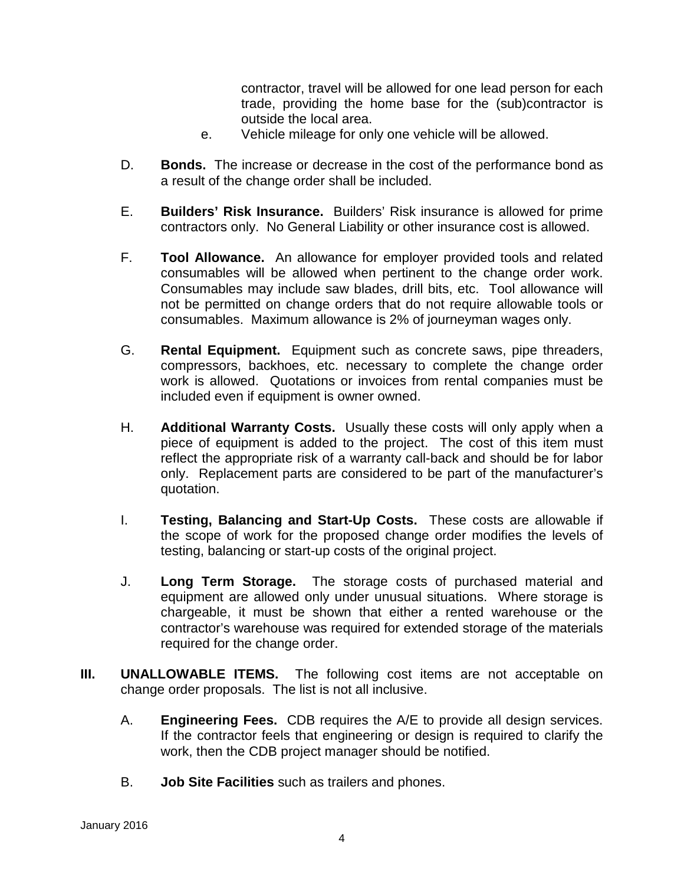contractor, travel will be allowed for one lead person for each trade, providing the home base for the (sub)contractor is outside the local area.

- e. Vehicle mileage for only one vehicle will be allowed.
- D. **Bonds.** The increase or decrease in the cost of the performance bond as a result of the change order shall be included.
- E. **Builders' Risk Insurance.** Builders' Risk insurance is allowed for prime contractors only. No General Liability or other insurance cost is allowed.
- F. **Tool Allowance.** An allowance for employer provided tools and related consumables will be allowed when pertinent to the change order work. Consumables may include saw blades, drill bits, etc. Tool allowance will not be permitted on change orders that do not require allowable tools or consumables. Maximum allowance is 2% of journeyman wages only.
- G. **Rental Equipment.** Equipment such as concrete saws, pipe threaders, compressors, backhoes, etc. necessary to complete the change order work is allowed. Quotations or invoices from rental companies must be included even if equipment is owner owned.
- H. **Additional Warranty Costs.** Usually these costs will only apply when a piece of equipment is added to the project. The cost of this item must reflect the appropriate risk of a warranty call-back and should be for labor only. Replacement parts are considered to be part of the manufacturer's quotation.
- I. **Testing, Balancing and Start-Up Costs.** These costs are allowable if the scope of work for the proposed change order modifies the levels of testing, balancing or start-up costs of the original project.
- J. **Long Term Storage.** The storage costs of purchased material and equipment are allowed only under unusual situations. Where storage is chargeable, it must be shown that either a rented warehouse or the contractor's warehouse was required for extended storage of the materials required for the change order.
- **III. UNALLOWABLE ITEMS.** The following cost items are not acceptable on change order proposals. The list is not all inclusive.
	- A. **Engineering Fees.** CDB requires the A/E to provide all design services. If the contractor feels that engineering or design is required to clarify the work, then the CDB project manager should be notified.
	- B. **Job Site Facilities** such as trailers and phones.